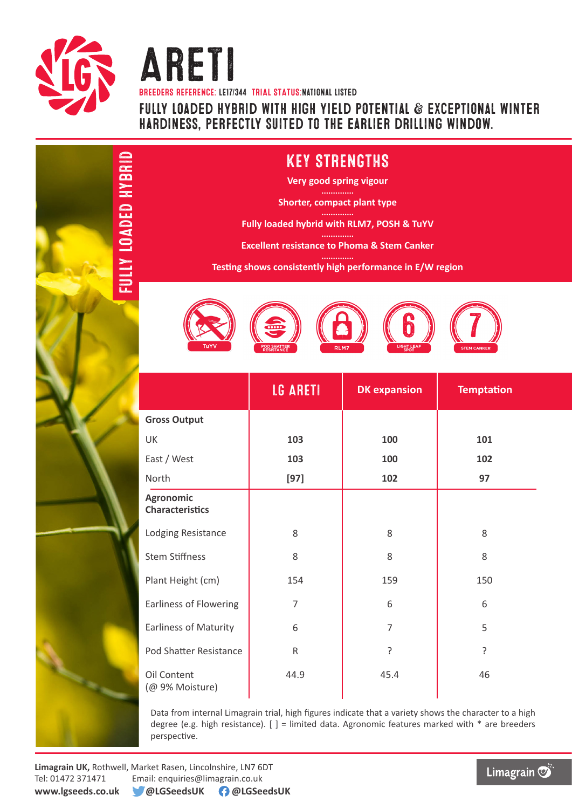

FULLY LOADED HYBRID

**QADED HYBRID** 

Areti BREEDERS REFERENCE: LE17/344 TRIAL STATUS:national listed fully loaded hybrid with high yield potential & exceptional winter hardiness, perfectly suited to the earlier drilling window.

## KEY STRENGTHS

**Very good spring vigour**

**Shorter, compact plant type**

**Fully loaded hybrid with RLM7, POSH & TuYV**

**Excellent resistance to Phoma & Stem Canker**

**Testing shows consistently high performance in E/W region**



|                                            | LG ARETI       | <b>DK</b> expansion | <b>Temptation</b> |  |
|--------------------------------------------|----------------|---------------------|-------------------|--|
| <b>Gross Output</b>                        |                |                     |                   |  |
| UK                                         | 103            | 100                 | 101               |  |
| East / West                                | 103            | 100                 | 102               |  |
| North                                      | $[97]$         | 102                 | 97                |  |
| <b>Agronomic</b><br><b>Characteristics</b> |                |                     |                   |  |
| Lodging Resistance                         | 8              | 8                   | 8                 |  |
| <b>Stem Stiffness</b>                      | 8              | 8                   | 8                 |  |
| Plant Height (cm)                          | 154            | 159                 | 150               |  |
| <b>Earliness of Flowering</b>              | $\overline{7}$ | 6                   | 6                 |  |
| <b>Earliness of Maturity</b>               | 6              | 7                   | 5                 |  |
| Pod Shatter Resistance                     | R.             | ?                   | 5.                |  |
| Oil Content<br>(@ 9% Moisture)             | 44.9           | 45.4                | 46                |  |

Data from internal Limagrain trial, high figures indicate that a variety shows the character to a high degree (e.g. high resistance).  $[ ] =$  limited data. Agronomic features marked with  $*$  are breeders perspective.